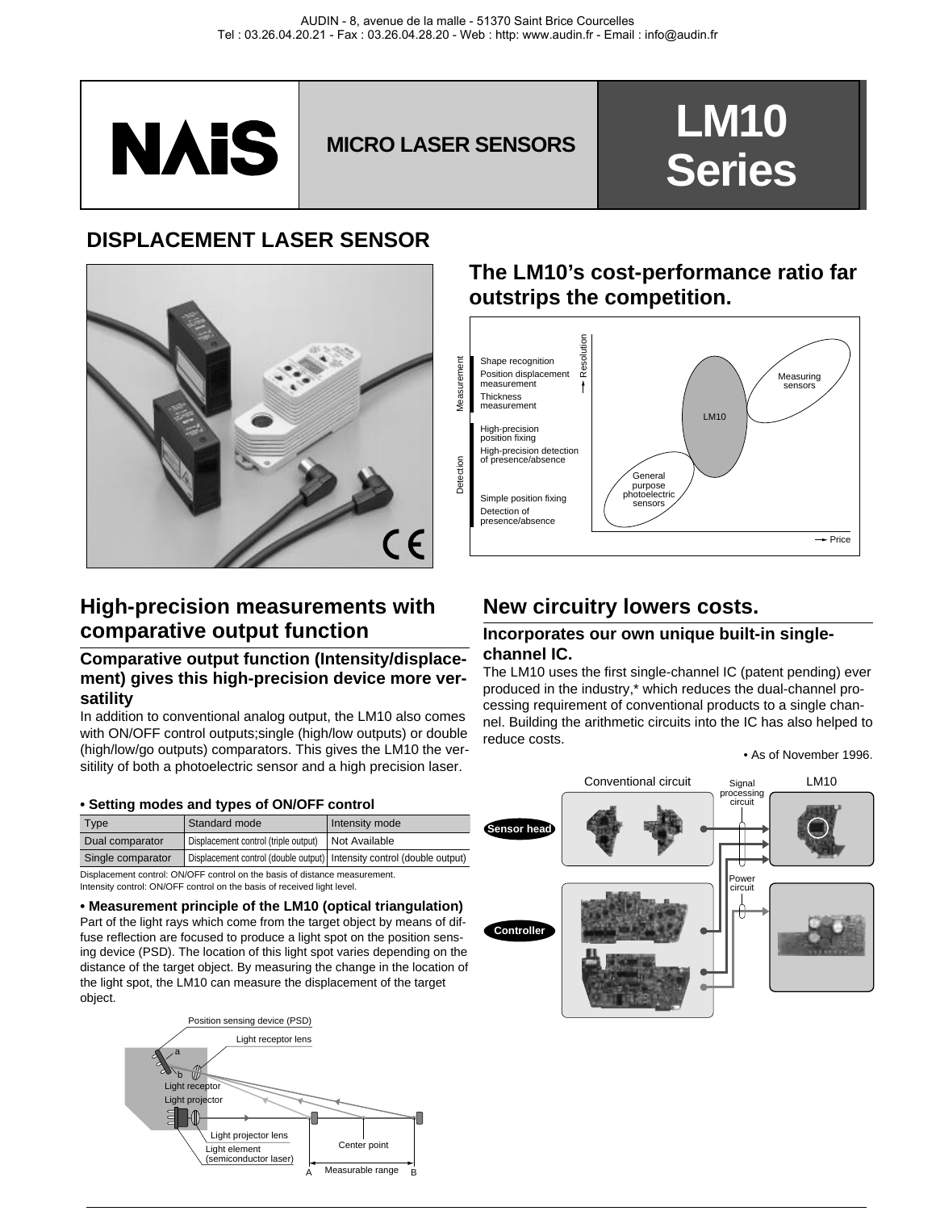

# **MICRO LASER SENSORS Series**

## **DISPLACEMENT LASER SENSOR**



## **High-precision measurements with comparative output function**

### **Comparative output function (Intensity/displacement) gives this high-precision device more versatility**

In addition to conventional analog output, the LM10 also comes with ON/OFF control outputs;single (high/low outputs) or double (high/low/go outputs) comparators. This gives the LM10 the versitility of both a photoelectric sensor and a high precision laser.

#### **• Setting modes and types of ON/OFF control**

| <b>Type</b>       | Standard mode                                                          | Intensity mode |
|-------------------|------------------------------------------------------------------------|----------------|
| Dual comparator   | Displacement control (triple output)   Not Available                   |                |
| Single comparator | Displacement control (double output) Intensity control (double output) |                |

Displacement control: ON/OFF control on the basis of distance measurement. Intensity control: ON/OFF control on the basis of received light level.

#### **• Measurement principle of the LM10 (optical triangulation)**

Part of the light rays which come from the target object by means of diffuse reflection are focused to produce a light spot on the position sensing device (PSD). The location of this light spot varies depending on the distance of the target object. By measuring the change in the location of the light spot, the LM10 can measure the displacement of the target object.



## **The LM10's cost-performance ratio far outstrips the competition.**



## **New circuitry lowers costs.**

#### **Incorporates our own unique built-in singlechannel IC.**

The LM10 uses the first single-channel IC (patent pending) ever produced in the industry,\* which reduces the dual-channel processing requirement of conventional products to a single channel. Building the arithmetic circuits into the IC has also helped to reduce costs.

#### • As of November 1996.

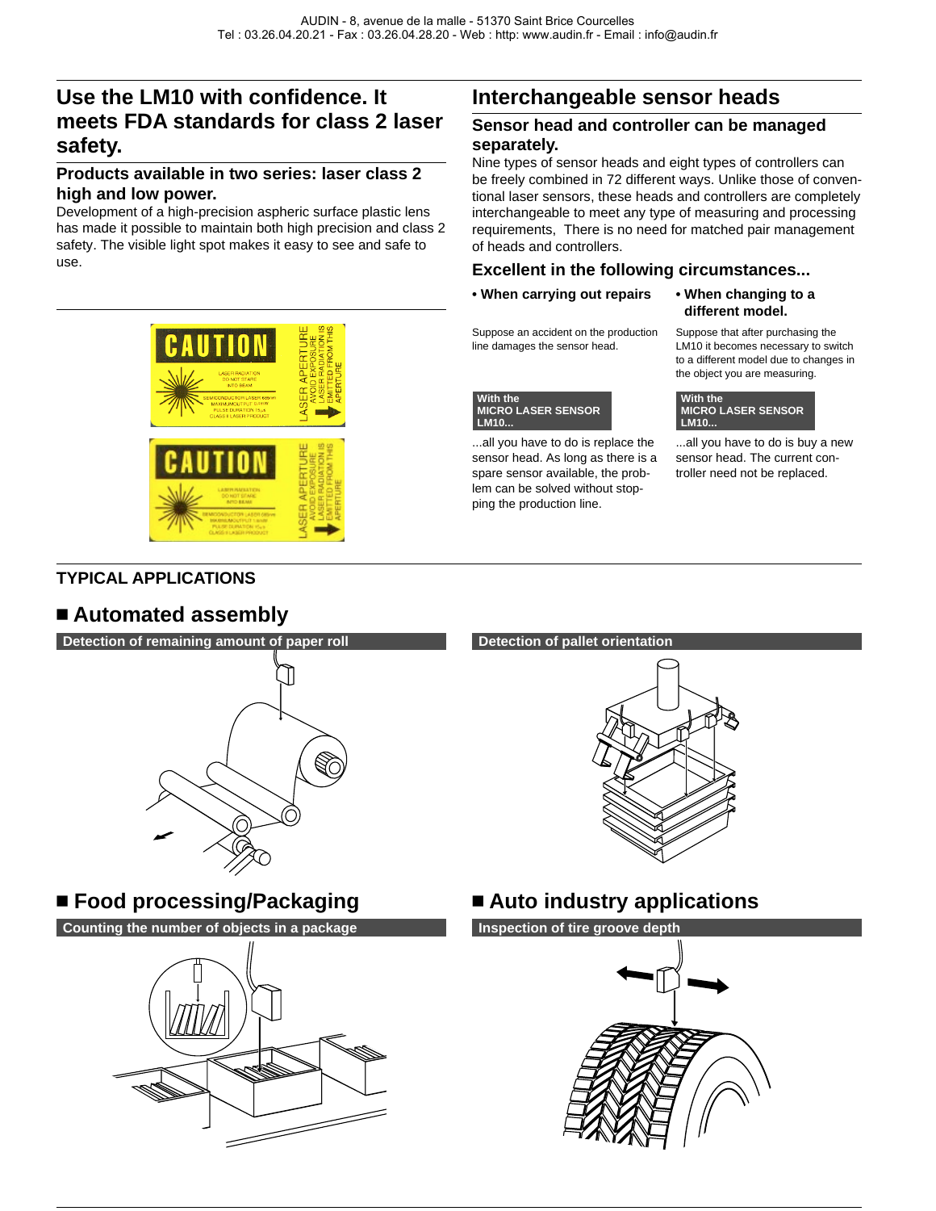## **Use the LM10 with confidence. It meets FDA standards for class 2 laser safety.**

### **Products available in two series: laser class 2 high and low power.**

Development of a high-precision aspheric surface plastic lens has made it possible to maintain both high precision and class 2 safety. The visible light spot makes it easy to see and safe to use.

## **Interchangeable sensor heads**

#### **Sensor head and controller can be managed separately.**

Nine types of sensor heads and eight types of controllers can be freely combined in 72 different ways. Unlike those of conventional laser sensors, these heads and controllers are completely interchangeable to meet any type of measuring and processing requirements, There is no need for matched pair management of heads and controllers.

### **Excellent in the following circumstances...**

**• When carrying out repairs**

Suppose an accident on the production line damages the sensor head.



...all you have to do is replace the sensor head. As long as there is a spare sensor available, the problem can be solved without stopping the production line.

**• When changing to a different model.**

Suppose that after purchasing the LM10 it becomes necessary to switch to a different model due to changes in the object you are measuring.



...all you have to do is buy a new sensor head. The current controller need not be replaced.

## **TYPICAL APPLICATIONS**

## n **Automated assembly**



## ■ Food processing/Packaging ■ Auto industry applications

**Counting the number of objects in a package <b>Inspection of tire groove depth** 



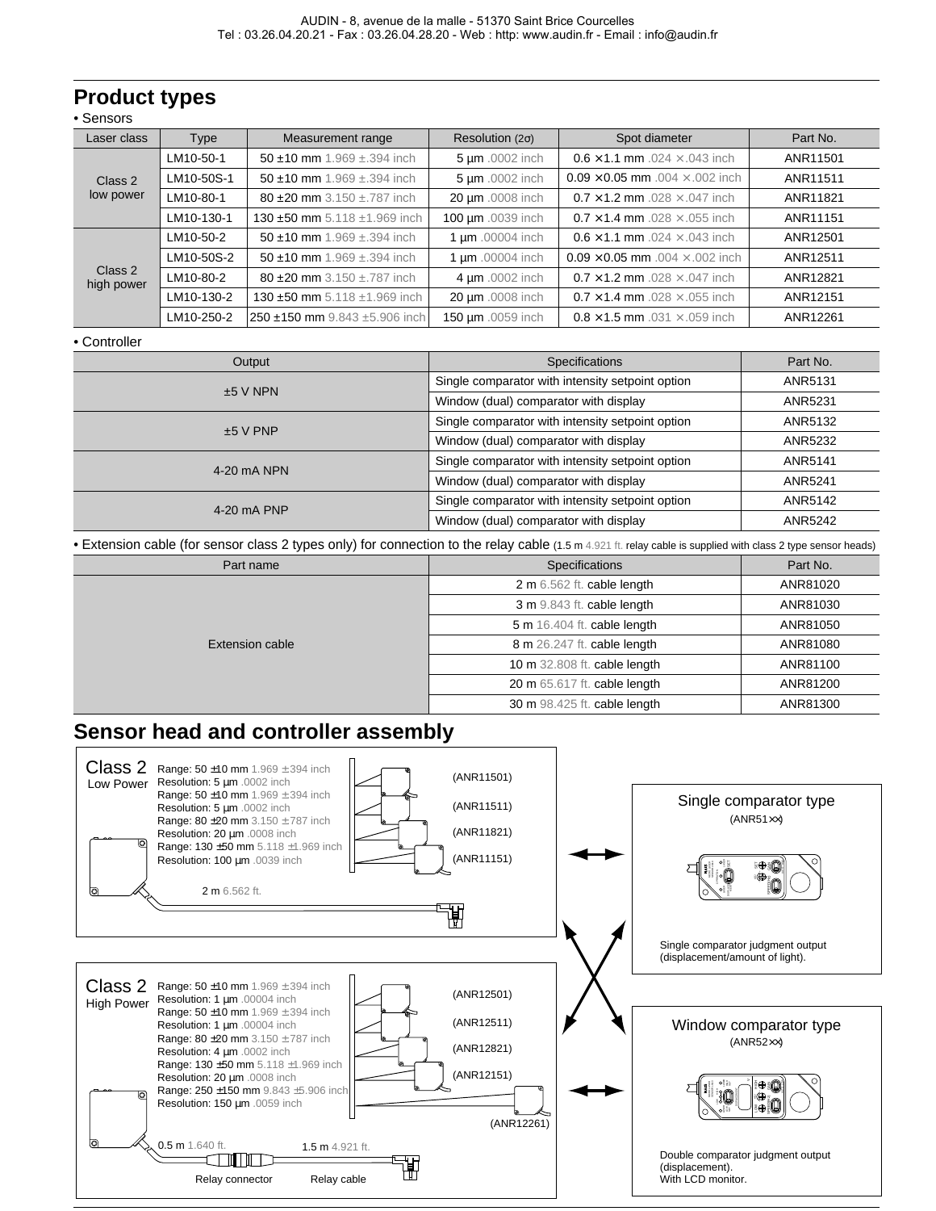## **Product types**

|  | Sensors |  |
|--|---------|--|
|--|---------|--|

| Laser class                        | <b>Type</b>                        | Measurement range                    | Resolution $(2\sigma)$                        | Spot diameter                                 | Part No. |
|------------------------------------|------------------------------------|--------------------------------------|-----------------------------------------------|-----------------------------------------------|----------|
| LM10-50-1<br>LM10-50S-1<br>Class 2 |                                    | 50 ±10 mm $1.969 \pm .394$ inch      | 5 um .0002 inch                               | $0.6 \times 1.1$ mm .024 $\times$ .043 inch   | ANR11501 |
|                                    | 50 ±10 mm $1.969 \pm .394$ inch    | 5 um .0002 inch                      | $0.09 \times 0.05$ mm $.004 \times .002$ inch | ANR11511                                      |          |
| low power                          | LM10-80-1                          | 80 $\pm$ 20 mm 3.150 $\pm$ .787 inch | 20 µm .0008 inch                              | $0.7 \times 1.2$ mm $.028 \times .047$ inch   | ANR11821 |
|                                    | LM10-130-1                         | 130 ±50 mm 5.118 ±1.969 inch         | 100 µm .0039 inch                             | $0.7 \times 1.4$ mm $.028 \times .055$ inch   | ANR11151 |
|                                    | LM10-50-2                          | 50 ±10 mm $1.969 \pm .394$ inch      | 1 µm .00004 inch                              | $0.6 \times 1.1$ mm $.024 \times .043$ inch   | ANR12501 |
|                                    | LM10-50S-2<br>Class 2<br>LM10-80-2 | 50 $\pm$ 10 mm 1.969 $\pm$ .394 inch | 1 µm .00004 inch                              | $0.09 \times 0.05$ mm $.004 \times .002$ inch | ANR12511 |
| high power                         |                                    | 80 $\pm$ 20 mm 3.150 $\pm$ .787 inch | 4 um .0002 inch                               | $0.7 \times 1.2$ mm $.028 \times .047$ inch   | ANR12821 |
|                                    | LM10-130-2                         | 130 ±50 mm 5.118 ±1.969 inch         | 20 µm .0008 inch                              | $0.7 \times 1.4$ mm .028 $\times$ .055 inch   | ANR12151 |
|                                    | LM10-250-2                         | 250 ±150 mm 9.843 ±5.906 inch        | 150 µm .0059 inch                             | $0.8 \times 1.5$ mm $.031 \times .059$ inch   | ANR12261 |

#### • Controller

| Output      | <b>Specifications</b>                            | Part No. |
|-------------|--------------------------------------------------|----------|
| $±5$ V NPN  | Single comparator with intensity setpoint option | ANR5131  |
|             | Window (dual) comparator with display            | ANR5231  |
| $±5$ V PNP  | Single comparator with intensity setpoint option | ANR5132  |
|             | Window (dual) comparator with display            | ANR5232  |
| 4-20 mA NPN | Single comparator with intensity setpoint option | ANR5141  |
|             | Window (dual) comparator with display            | ANR5241  |
| 4-20 mA PNP | Single comparator with intensity setpoint option | ANR5142  |
|             | Window (dual) comparator with display            | ANR5242  |

• Extension cable (for sensor class 2 types only) for connection to the relay cable (1.5 m 4.921 ft. relay cable is supplied with class 2 type sensor heads)

| Part name       | <b>Specifications</b>        | Part No. |
|-----------------|------------------------------|----------|
|                 | 2 m 6.562 ft. cable length   | ANR81020 |
|                 | 3 m 9.843 ft. cable length   | ANR81030 |
|                 | 5 m 16.404 ft. cable length  | ANR81050 |
| Extension cable | 8 m 26.247 ft. cable length  | ANR81080 |
|                 | 10 m 32.808 ft. cable length | ANR81100 |
|                 | 20 m 65.617 ft. cable length | ANR81200 |
|                 | 30 m 98.425 ft. cable length | ANR81300 |

## **Sensor head and controller assembly**

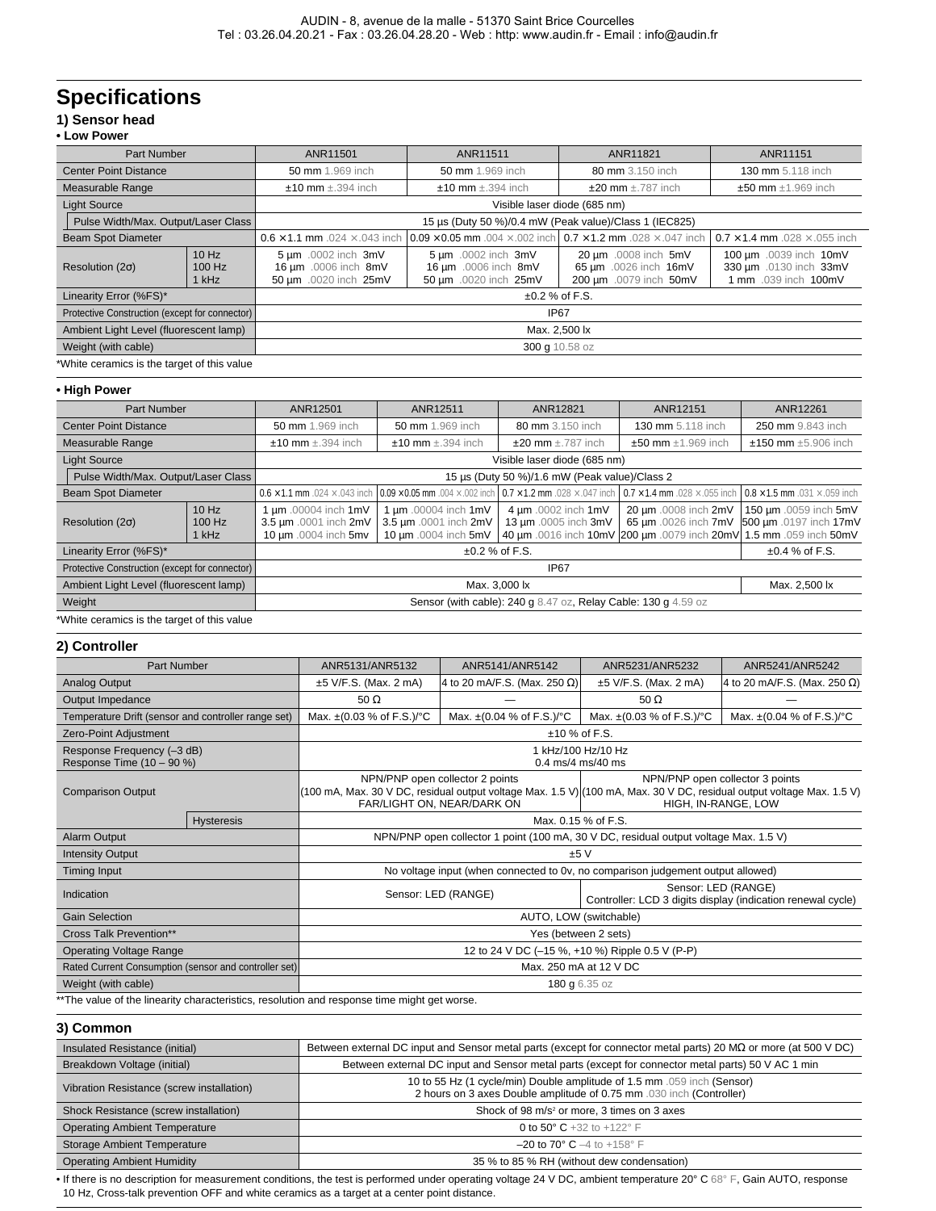## **Specifications**

#### **1) Sensor head • Low Power**

|                                                | Part Number<br>ANR11501<br>ANR11511<br>ANR11821 |                                                                                                                                            |                                                                      | ANR11151                                                                |                                                                          |  |
|------------------------------------------------|-------------------------------------------------|--------------------------------------------------------------------------------------------------------------------------------------------|----------------------------------------------------------------------|-------------------------------------------------------------------------|--------------------------------------------------------------------------|--|
| <b>Center Point Distance</b>                   |                                                 | 50 mm 1.969 inch<br>50 mm 1.969 inch<br>80 mm 3.150 inch<br>130 mm 5.118 inch                                                              |                                                                      |                                                                         |                                                                          |  |
| Measurable Range                               |                                                 | $±10$ mm $±.394$ inch<br>$±10$ mm $±.394$ inch<br>$\pm 20$ mm $\pm .787$ inch<br>$±50$ mm $±1.969$ inch                                    |                                                                      |                                                                         |                                                                          |  |
| <b>Light Source</b>                            |                                                 | Visible laser diode (685 nm)                                                                                                               |                                                                      |                                                                         |                                                                          |  |
| Pulse Width/Max. Output/Laser Class            |                                                 | 15 µs (Duty 50 %)/0.4 mW (Peak value)/Class 1 (IEC825)                                                                                     |                                                                      |                                                                         |                                                                          |  |
| <b>Beam Spot Diameter</b>                      |                                                 | $0.09 \times 0.05$ mm $.004 \times 0.002$ inch $0.7 \times 1.2$ mm $.028 \times 0.047$ inch<br>$0.6 \times 1.1$ mm .024 $\times$ .043 inch |                                                                      |                                                                         | $0.7 \times 1.4$ mm .028 $\times$ .055 inch                              |  |
| Resolution ( $2\sigma$ )                       | 10 Hz<br>100 Hz<br>1 kHz                        | 5 µm .0002 inch 3mV<br>16 µm .0006 inch 8mV<br>50 µm .0020 inch 25mV                                                                       | 5 um .0002 inch 3mV<br>16 µm .0006 inch 8mV<br>50 µm .0020 inch 25mV | 20 µm .0008 inch 5mV<br>65 µm .0026 inch 16mV<br>200 µm .0079 inch 50mV | 100 µm .0039 inch 10mV<br>330 µm .0130 inch 33mV<br>1 mm .039 inch 100mV |  |
| Linearity Error (%FS)*                         |                                                 | $\pm 0.2$ % of F.S.                                                                                                                        |                                                                      |                                                                         |                                                                          |  |
| Protective Construction (except for connector) |                                                 | <b>IP67</b>                                                                                                                                |                                                                      |                                                                         |                                                                          |  |
| Ambient Light Level (fluorescent lamp)         |                                                 | Max. 2,500 lx                                                                                                                              |                                                                      |                                                                         |                                                                          |  |
| Weight (with cable)<br>300 g 10.58 oz          |                                                 |                                                                                                                                            |                                                                      |                                                                         |                                                                          |  |
| *White ceramics is the target of this value    |                                                 |                                                                                                                                            |                                                                      |                                                                         |                                                                          |  |

#### **• High Power**

| <b>Part Number</b>                                      |                          | ANR12501<br>ANR12511<br>ANR12821<br>ANR12151                                                                                                                                                                                         |                                                                       |                                             | ANR12261                                                                                   |                                                                      |
|---------------------------------------------------------|--------------------------|--------------------------------------------------------------------------------------------------------------------------------------------------------------------------------------------------------------------------------------|-----------------------------------------------------------------------|---------------------------------------------|--------------------------------------------------------------------------------------------|----------------------------------------------------------------------|
| <b>Center Point Distance</b>                            |                          | 50 mm 1.969 inch<br>50 mm 1.969 inch<br>80 mm 3.150 inch<br>130 mm 5.118 inch                                                                                                                                                        |                                                                       |                                             | 250 mm 9.843 inch                                                                          |                                                                      |
| Measurable Range                                        |                          | $\pm 20$ mm $\pm$ .787 inch<br>$±50$ mm $±1.969$ inch<br>$±10$ mm $±.394$ inch<br>$±10$ mm $±.394$ inch                                                                                                                              |                                                                       |                                             | $±150$ mm $±5.906$ inch                                                                    |                                                                      |
| <b>Light Source</b>                                     |                          | Visible laser diode (685 nm)                                                                                                                                                                                                         |                                                                       |                                             |                                                                                            |                                                                      |
| Pulse Width/Max. Output/Laser Class                     |                          | 15 µs (Duty 50 %)/1.6 mW (Peak value)/Class 2                                                                                                                                                                                        |                                                                       |                                             |                                                                                            |                                                                      |
| <b>Beam Spot Diameter</b>                               |                          | 0.6 × 1.1 mm .024 × .043 inch $10.09 \times 0.05$ mm .004 × .002 inch $10.7 \times 1.2$ mm .028 × .047 inch<br>$\sqrt{0.7 \times 1.4 \text{ mm}}$ .028 $\times$ .055 inch $\sqrt{0.8 \times 1.5 \text{ mm}}$ .031 $\times$ .059 inch |                                                                       |                                             |                                                                                            |                                                                      |
| Resolution ( $2\sigma$ )                                | 10 Hz<br>100 Hz<br>1 kHz | um .00004 inch 1mV<br>3.5 µm .0001 inch 2mV<br>10 µm .0004 inch 5mv                                                                                                                                                                  | 1 um .00004 inch 1mV<br>3.5 µm .0001 inch 2mV<br>10 µm .0004 inch 5mV | 4 um .0002 inch 1mV<br>13 µm .0005 inch 3mV | 20 µm .0008 inch 2mV<br>40 µm .0016 inch 10mV 200 µm .0079 inch 20mV 1.5 mm .059 inch 50mV | 150 µm .0059 inch 5mV<br>65 um .0026 inch 7mV 500 um .0197 inch 17mV |
| Linearity Error (%FS)*<br>$\pm 0.2$ % of F.S.           |                          |                                                                                                                                                                                                                                      | $±0.4$ % of F.S.                                                      |                                             |                                                                                            |                                                                      |
| Protective Construction (except for connector)          |                          | IP67                                                                                                                                                                                                                                 |                                                                       |                                             |                                                                                            |                                                                      |
| Ambient Light Level (fluorescent lamp)<br>Max. 3,000 lx |                          |                                                                                                                                                                                                                                      | Max. 2,500 lx                                                         |                                             |                                                                                            |                                                                      |
| Weight                                                  |                          | Sensor (with cable): 240 g 8.47 oz, Relay Cable: 130 g 4.59 oz                                                                                                                                                                       |                                                                       |                                             |                                                                                            |                                                                      |

\*White ceramics is the target of this value

#### **2) Controller**

| <b>Part Number</b>                                      |                   | ANR5131/ANR5132                                                                                                                                                                                                                                  | ANR5141/ANR5142                           | ANR5231/ANR5232                                                                    | ANR5241/ANR5242                           |  |
|---------------------------------------------------------|-------------------|--------------------------------------------------------------------------------------------------------------------------------------------------------------------------------------------------------------------------------------------------|-------------------------------------------|------------------------------------------------------------------------------------|-------------------------------------------|--|
| Analog Output                                           |                   | $\pm 5$ V/F.S. (Max. 2 mA)                                                                                                                                                                                                                       | 4 to 20 mA/F.S. (Max. 250 $\Omega$ )      | $±5$ V/F.S. (Max. 2 mA)                                                            | 4 to 20 mA/F.S. (Max. 250 $\Omega$ )      |  |
| Output Impedance                                        |                   | 50 $\Omega$                                                                                                                                                                                                                                      |                                           | $50 \Omega$                                                                        |                                           |  |
| Temperature Drift (sensor and controller range set)     |                   | Max. $\pm (0.03 \% \text{ of } F.S.)$ /°C                                                                                                                                                                                                        | Max. $\pm (0.04 \% \text{ of } F.S.)$ /°C | Max. $\pm (0.03 %$ of F.S.)/°C                                                     | Max. $\pm (0.04 \% \text{ of } F.S.)$ /°C |  |
| Zero-Point Adjustment                                   |                   |                                                                                                                                                                                                                                                  | $±10%$ of F.S.                            |                                                                                    |                                           |  |
| Response Frequency (-3 dB)<br>Response Time (10 - 90 %) |                   |                                                                                                                                                                                                                                                  | 1 kHz/100 Hz/10 Hz<br>0.4 ms/4 ms/40 ms   |                                                                                    |                                           |  |
| <b>Comparison Output</b>                                |                   | NPN/PNP open collector 2 points<br>NPN/PNP open collector 3 points<br>(100 mA, Max. 30 V DC, residual output voltage Max. 1.5 V) (100 mA, Max. 30 V DC, residual output voltage Max. 1.5 V)<br>FAR/LIGHT ON, NEAR/DARK ON<br>HIGH, IN-RANGE, LOW |                                           |                                                                                    |                                           |  |
|                                                         | <b>Hysteresis</b> |                                                                                                                                                                                                                                                  | Max. 0.15 % of F.S.                       |                                                                                    |                                           |  |
| Alarm Output                                            |                   | NPN/PNP open collector 1 point (100 mA, 30 V DC, residual output voltage Max. 1.5 V)                                                                                                                                                             |                                           |                                                                                    |                                           |  |
| <b>Intensity Output</b>                                 |                   | ±5V                                                                                                                                                                                                                                              |                                           |                                                                                    |                                           |  |
| Timing Input                                            |                   | No voltage input (when connected to 0v, no comparison judgement output allowed)                                                                                                                                                                  |                                           |                                                                                    |                                           |  |
| Indication                                              |                   |                                                                                                                                                                                                                                                  | Sensor: LED (RANGE)                       | Sensor: LED (RANGE)<br>Controller: LCD 3 digits display (indication renewal cycle) |                                           |  |
| <b>Gain Selection</b>                                   |                   | AUTO, LOW (switchable)                                                                                                                                                                                                                           |                                           |                                                                                    |                                           |  |
| <b>Cross Talk Prevention**</b>                          |                   | Yes (between 2 sets)                                                                                                                                                                                                                             |                                           |                                                                                    |                                           |  |
| <b>Operating Voltage Range</b>                          |                   | 12 to 24 V DC (-15 %, +10 %) Ripple 0.5 V (P-P)                                                                                                                                                                                                  |                                           |                                                                                    |                                           |  |
| Rated Current Consumption (sensor and controller set)   |                   | Max. 250 mA at 12 V DC                                                                                                                                                                                                                           |                                           |                                                                                    |                                           |  |
| Weight (with cable)                                     |                   | 180 g 6.35 oz                                                                                                                                                                                                                                    |                                           |                                                                                    |                                           |  |
|                                                         |                   | **The value of the linearity oberactoriation, resolution and response time might act wereo                                                                                                                                                       |                                           |                                                                                    |                                           |  |

The value of the linearity characteristics, resolution and response time might get worse.

#### **3) Common**

| Insulated Resistance (initial)            | Between external DC input and Sensor metal parts (except for connector metal parts) 20 M $\Omega$ or more (at 500 V DC)                         |
|-------------------------------------------|-------------------------------------------------------------------------------------------------------------------------------------------------|
| Breakdown Voltage (initial)               | Between external DC input and Sensor metal parts (except for connector metal parts) 50 V AC 1 min                                               |
| Vibration Resistance (screw installation) | 10 to 55 Hz (1 cycle/min) Double amplitude of 1.5 mm .059 inch (Sensor)<br>2 hours on 3 axes Double amplitude of 0.75 mm .030 inch (Controller) |
| Shock Resistance (screw installation)     | Shock of 98 m/s <sup>2</sup> or more, 3 times on 3 axes                                                                                         |
| <b>Operating Ambient Temperature</b>      | 0 to 50 $\degree$ C +32 to +122 $\degree$ F                                                                                                     |
| Storage Ambient Temperature               | $-20$ to 70° C $-4$ to +158° F                                                                                                                  |
| <b>Operating Ambient Humidity</b>         | 35 % to 85 % RH (without dew condensation)                                                                                                      |
|                                           |                                                                                                                                                 |

• If there is no description for measurement conditions, the test is performed under operating voltage 24 V DC, ambient temperature 20° C 68° F, Gain AUTO, response 10 Hz, Cross-talk prevention OFF and white ceramics as a target at a center point distance.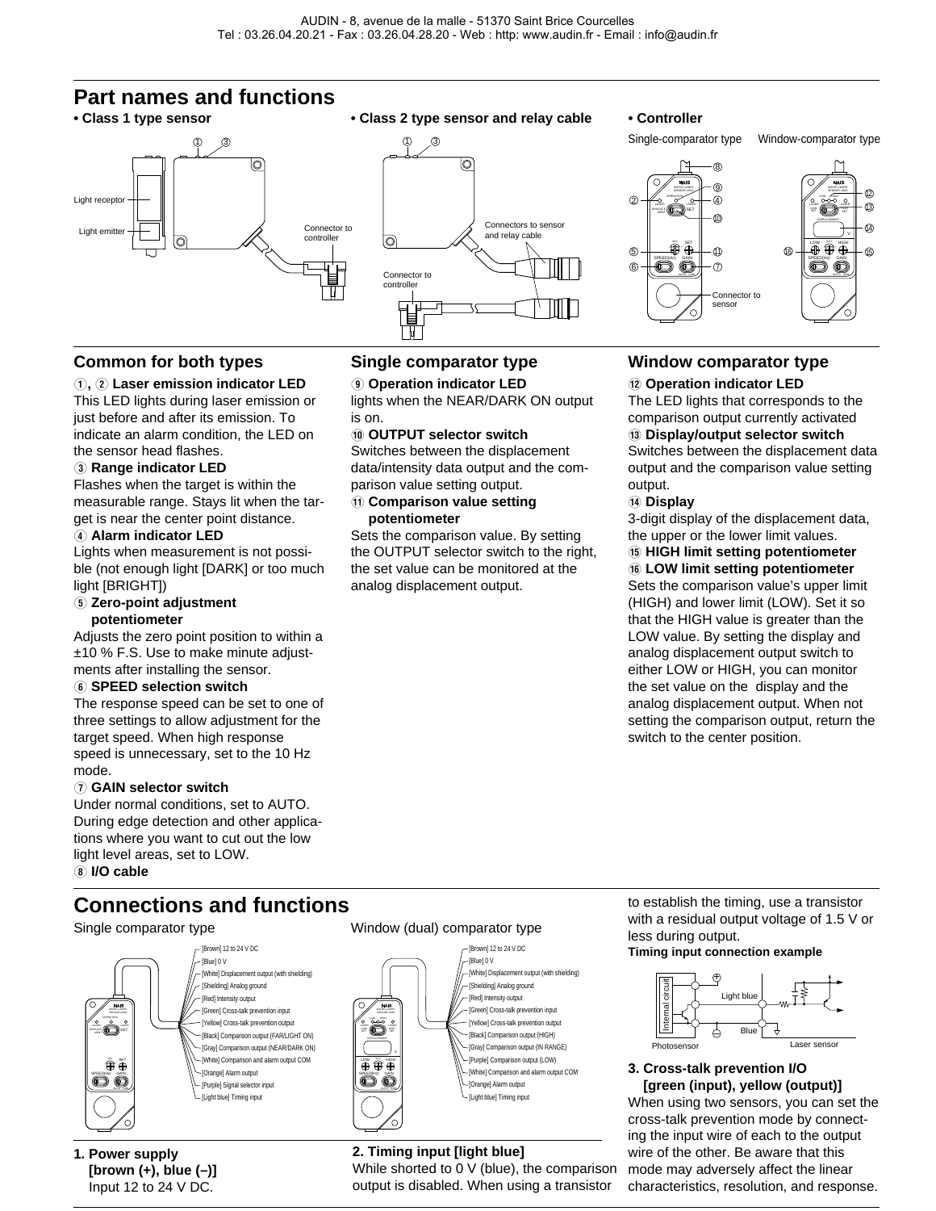## **Part names and functions**





Single-comparator type Window-comparator type



### **Common for both types**

#### Q**,** W **Laser emission indicator LED**

This LED lights during laser emission or just before and after its emission. To indicate an alarm condition, the LED on the sensor head flashes.

#### **(3) Range indicator LED**

Flashes when the target is within the measurable range. Stays lit when the target is near the center point distance.

#### **(4) Alarm indicator LED**

Lights when measurement is not possible (not enough light [DARK] or too much light [BRIGHT])

#### **5** Zero-point adjustment **potentiometer**

Adjusts the zero point position to within a ±10 % F.S. Use to make minute adjustments after installing the sensor.

#### $6$  **SPEED selection switch**

The response speed can be set to one of three settings to allow adjustment for the target speed. When high response speed is unnecessary, set to the 10 Hz mode.

#### U **GAIN selector switch**

Under normal conditions, set to AUTO. During edge detection and other applications where you want to cut out the low light level areas, set to LOW. I **I/O cable**

## **Connections and functions**

#### Single comparator type Window (dual) comparator type



**1. Power supply [brown (+), blue (–)]** Input 12 to 24 V DC.

## **Single comparator type**

O **Operation indicator LED** lights when the NEAR/DARK ON output is on.

#### **(0) OUTPUT selector switch**

Switches between the displacement data/intensity data output and the comparison value setting output.

#### { **Comparison value setting potentiometer**

Sets the comparison value. By setting the OUTPUT selector switch to the right, the set value can be monitored at the analog displacement output.

### **Window comparator type**

#### } **Operation indicator LED**

The LED lights that corresponds to the comparison output currently activated q **Display/output selector switch** Switches between the displacement data output and the comparison value setting output.

#### **14 Display**

3-digit display of the displacement data, the upper or the lower limit values.

#### **(6) HIGH limit setting potentiometer 16 LOW limit setting potentiometer**

Sets the comparison value's upper limit (HIGH) and lower limit (LOW). Set it so that the HIGH value is greater than the LOW value. By setting the display and analog displacement output switch to either LOW or HIGH, you can monitor the set value on the display and the analog displacement output. When not setting the comparison output, return the switch to the center position.



### **2. Timing input [light blue]**

MICRO LASER LASER LOW SET LOW HIGH

SENSOR LM10

**DW AD**, HIGH V SPEED(Hz) GAIN

While shorted to 0 V (blue), the comparison output is disabled. When using a transistor

to establish the timing, use a transistor with a residual output voltage of 1.5 V or less during output.

#### **Timing input connection example**



#### **3. Cross-talk prevention I/O [green (input), yellow (output)]** When using two sensors, you can set the cross-talk prevention mode by connect-

ing the input wire of each to the output wire of the other. Be aware that this mode may adversely affect the linear characteristics, resolution, and response.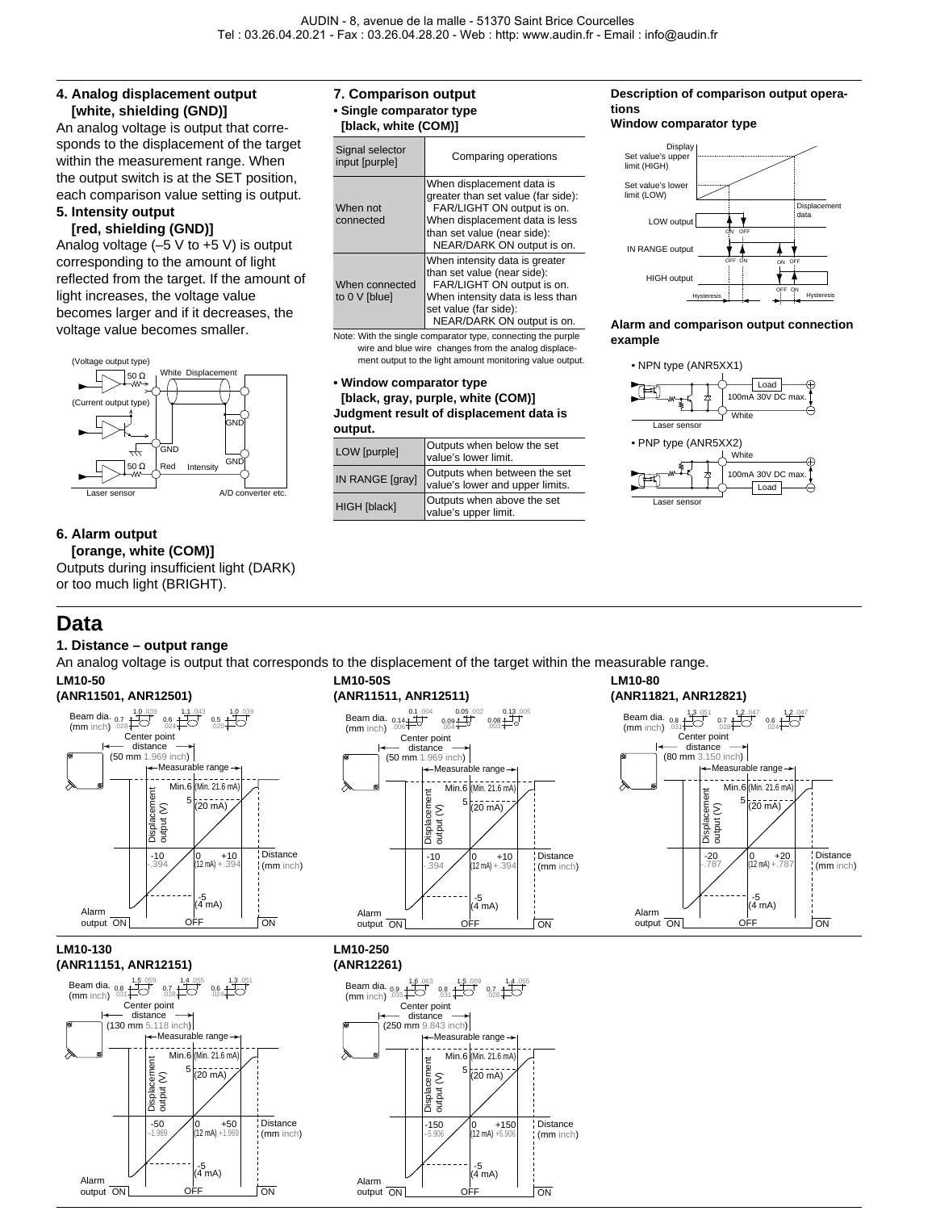#### **4. Analog displacement output [white, shielding (GND)]**

An analog voltage is output that corresponds to the displacement of the target within the measurement range. When the output switch is at the SET position, each comparison value setting is output.

#### **5. Intensity output [red, shielding (GND)]**

Analog voltage (–5 V to +5 V) is output corresponding to the amount of light reflected from the target. If the amount of light increases, the voltage value becomes larger and if it decreases, the voltage value becomes smaller.



#### **6. Alarm output**

**[orange, white (COM)]** Outputs during insufficient light (DARK) or too much light (BRIGHT).

-5 (4 mA)

output ON <del>OFF</del> ON

Alarm

## **Data**

#### **1. Distance – output range**

An analog voltage is output that corresponds to the displacement of the target within the measurable range.

Alarm output ON



-5 (4 mA) OFF | ON

## **7. Comparison output**

**• Single comparator type [black, white (COM)]**

| $[$ piack, willte $[$ COMJ |  |
|----------------------------|--|
|                            |  |

| Signal selector<br>input [purple] | Comparing operations                                                                                                                                                                         |
|-----------------------------------|----------------------------------------------------------------------------------------------------------------------------------------------------------------------------------------------|
| When not<br>connected             | When displacement data is<br>greater than set value (far side):<br>FAR/LIGHT ON output is on.<br>When displacement data is less<br>than set value (near side):<br>NEAR/DARK ON output is on. |
| When connected<br>to 0 V [blue]   | When intensity data is greater<br>than set value (near side):<br>FAR/LIGHT ON output is on.<br>When intensity data is less than<br>set value (far side):<br>NEAR/DARK ON output is on.       |

Note: With the single comparator type, connecting the purple wire and blue wire changes from the analog displacement output to the light amount monitoring value output.

#### **• Window comparator type [black, gray, purple, white (COM)] Judgment result of displacement data is output.**

| vuuvu.              |                                                                 |  |  |  |
|---------------------|-----------------------------------------------------------------|--|--|--|
| <b>LOW</b> [purple] | Outputs when below the set<br>value's lower limit.              |  |  |  |
| IN RANGE [gray]     | Outputs when between the set<br>value's lower and upper limits. |  |  |  |
| HIGH [black]        | Outputs when above the set<br>value's upper limit.              |  |  |  |

#### **Description of comparison output operations**

#### **Window comparator type**



#### **Alarm and comparison output connection example**

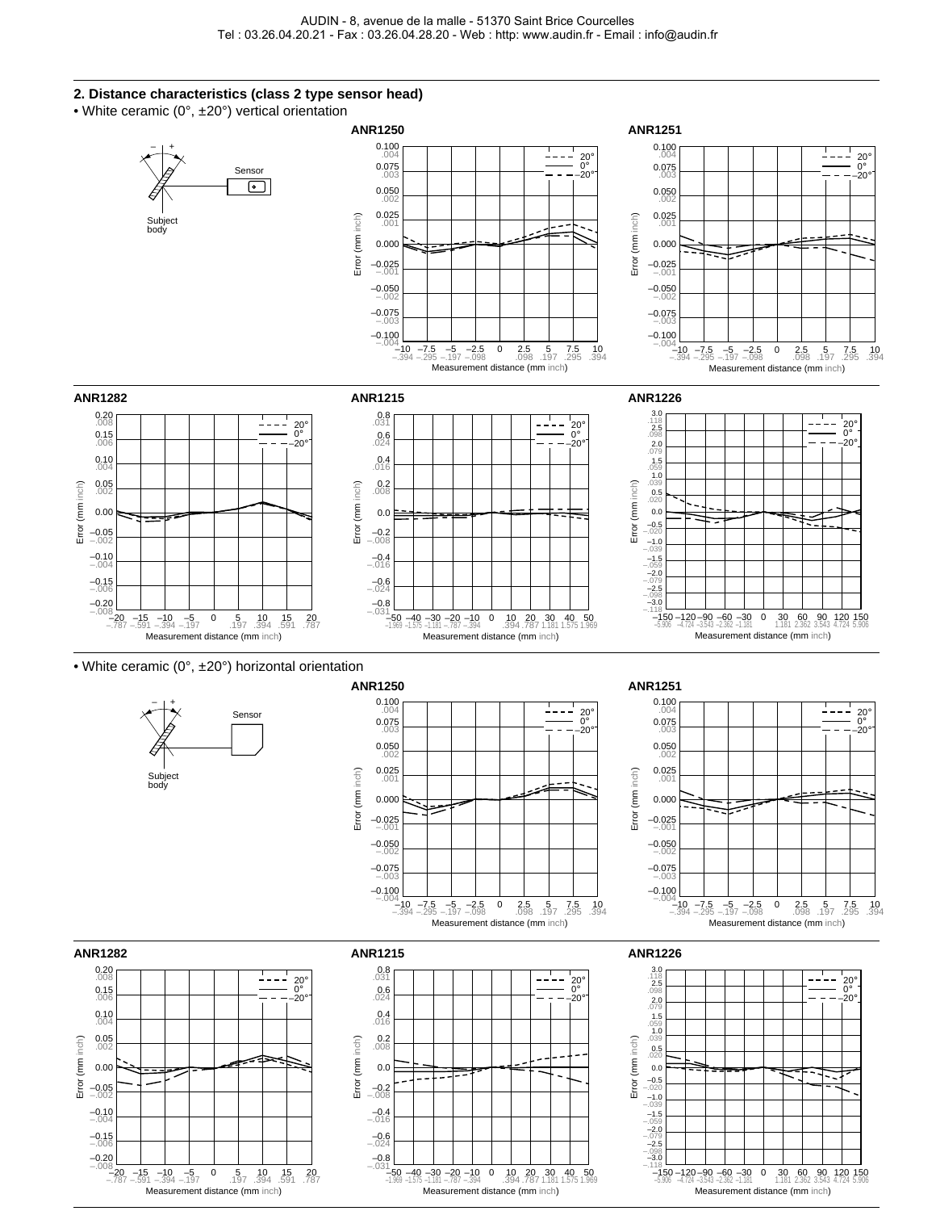#### **2. Distance characteristics (class 2 type sensor head)**

• White ceramic (0°, ±20°) vertical orientation

Measurement distance (mm inch)



Measurement distance (mm inch)

Measurement distance (mm inch) –1.181 0 30 1.181 <sup>90</sup> 3.543 <sup>60</sup> 2.362 <sup>120</sup> 4.724 <sup>150</sup> 5.906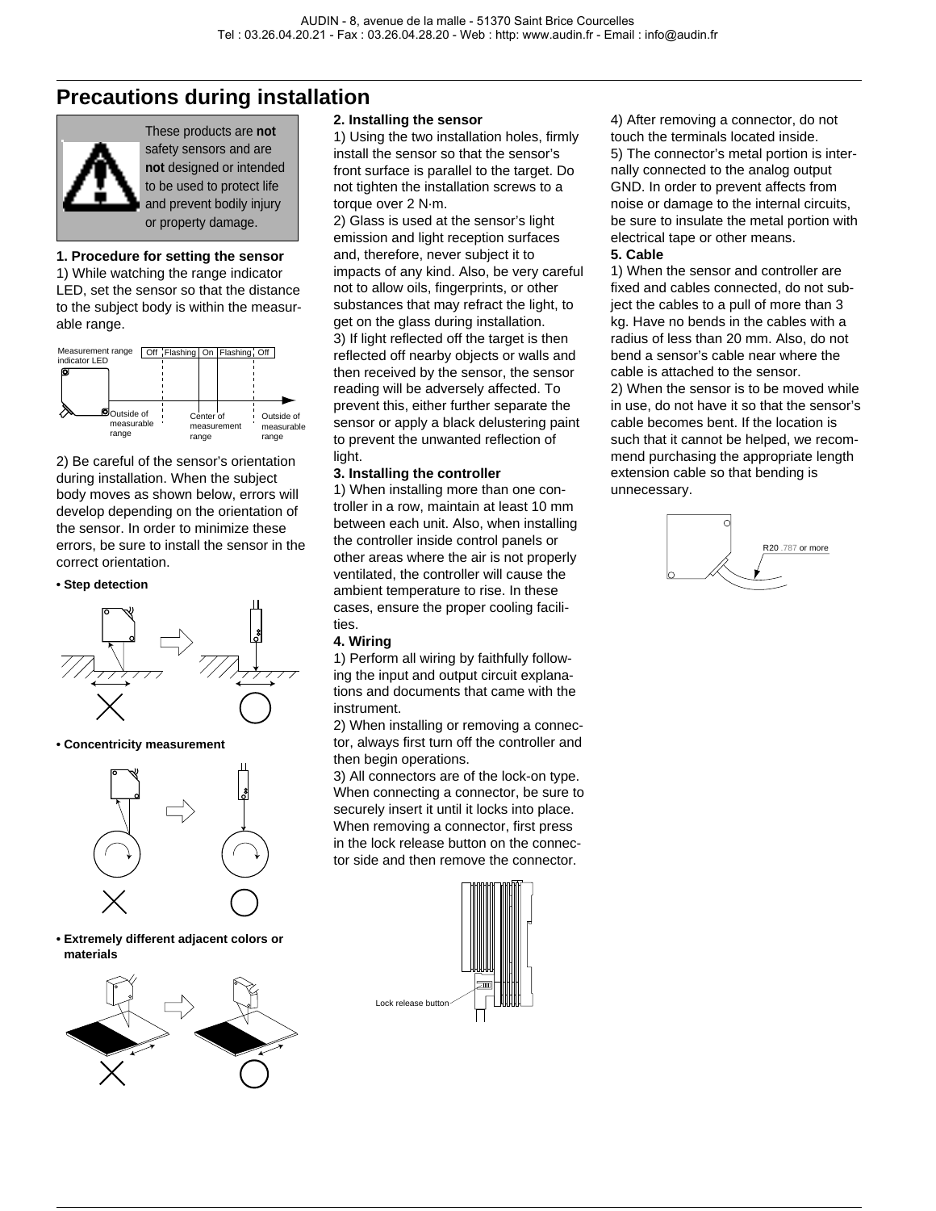## **Precautions during installation**



These products are **not** safety sensors and are **not** designed or intended to be used to protect life and prevent bodily injury or property damage.

#### **1. Procedure for setting the sensor**

1) While watching the range indicator LED, set the sensor so that the distance to the subject body is within the measurable range.



2) Be careful of the sensor's orientation during installation. When the subject body moves as shown below, errors will develop depending on the orientation of the sensor. In order to minimize these errors, be sure to install the sensor in the correct orientation.

#### **• Step detection**



#### **• Concentricity measurement**



**• Extremely different adjacent colors or materials**



#### **2. Installing the sensor**

1) Using the two installation holes, firmly install the sensor so that the sensor's front surface is parallel to the target. Do not tighten the installation screws to a torque over 2 N·m.

2) Glass is used at the sensor's light emission and light reception surfaces and, therefore, never subject it to impacts of any kind. Also, be very careful not to allow oils, fingerprints, or other substances that may refract the light, to get on the glass during installation. 3) If light reflected off the target is then reflected off nearby objects or walls and then received by the sensor, the sensor reading will be adversely affected. To prevent this, either further separate the sensor or apply a black delustering paint to prevent the unwanted reflection of light.

#### **3. Installing the controller**

1) When installing more than one controller in a row, maintain at least 10 mm between each unit. Also, when installing the controller inside control panels or other areas where the air is not properly ventilated, the controller will cause the ambient temperature to rise. In these cases, ensure the proper cooling facilities.

#### **4. Wiring**

1) Perform all wiring by faithfully following the input and output circuit explanations and documents that came with the instrument.

2) When installing or removing a connector, always first turn off the controller and then begin operations.

3) All connectors are of the lock-on type. When connecting a connector, be sure to securely insert it until it locks into place. When removing a connector, first press in the lock release button on the connector side and then remove the connector.



4) After removing a connector, do not touch the terminals located inside. 5) The connector's metal portion is internally connected to the analog output GND. In order to prevent affects from noise or damage to the internal circuits, be sure to insulate the metal portion with electrical tape or other means.

#### **5. Cable**

1) When the sensor and controller are fixed and cables connected, do not subject the cables to a pull of more than 3 kg. Have no bends in the cables with a radius of less than 20 mm. Also, do not bend a sensor's cable near where the cable is attached to the sensor. 2) When the sensor is to be moved while in use, do not have it so that the sensor's cable becomes bent. If the location is such that it cannot be helped, we recommend purchasing the appropriate length extension cable so that bending is unnecessary.

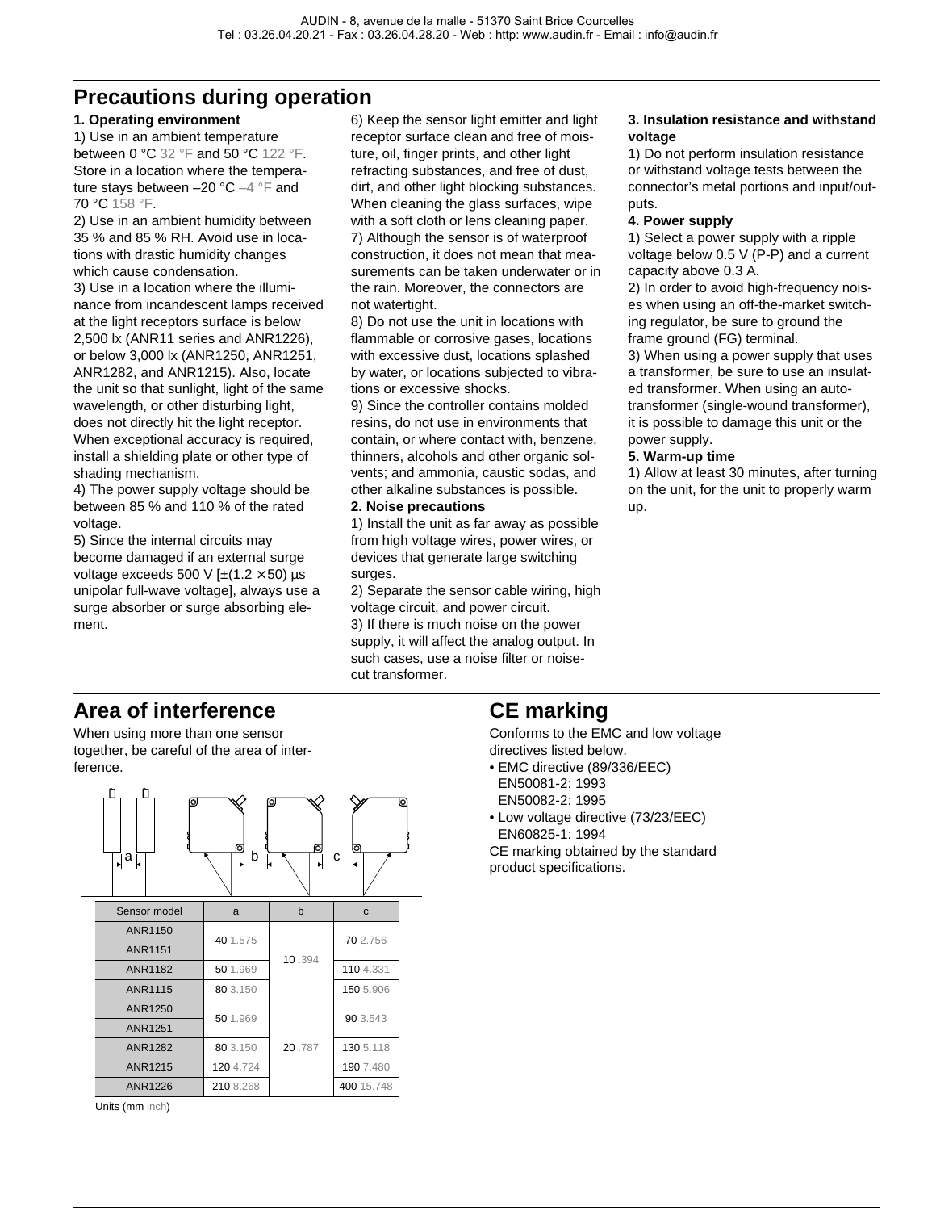## **Precautions during operation**

#### **1. Operating environment**

1) Use in an ambient temperature between 0 °C 32 °F and 50 °C 122 °F. Store in a location where the temperature stays between –20 °C –4 °F and 70 °C 158 °F.

2) Use in an ambient humidity between 35 % and 85 % RH. Avoid use in locations with drastic humidity changes which cause condensation.

3) Use in a location where the illuminance from incandescent lamps received at the light receptors surface is below 2,500 lx (ANR11 series and ANR1226), or below 3,000 lx (ANR1250, ANR1251, ANR1282, and ANR1215). Also, locate the unit so that sunlight, light of the same wavelength, or other disturbing light, does not directly hit the light receptor. When exceptional accuracy is required, install a shielding plate or other type of shading mechanism.

4) The power supply voltage should be between 85 % and 110 % of the rated voltage.

5) Since the internal circuits may become damaged if an external surge voltage exceeds 500 V  $[\pm(1.2 \times 50)$  µs unipolar full-wave voltage], always use a surge absorber or surge absorbing element.

6) Keep the sensor light emitter and light receptor surface clean and free of moisture, oil, finger prints, and other light refracting substances, and free of dust, dirt, and other light blocking substances. When cleaning the glass surfaces, wipe with a soft cloth or lens cleaning paper. 7) Although the sensor is of waterproof construction, it does not mean that measurements can be taken underwater or in the rain. Moreover, the connectors are not watertight.

8) Do not use the unit in locations with flammable or corrosive gases, locations with excessive dust, locations splashed by water, or locations subjected to vibrations or excessive shocks.

9) Since the controller contains molded resins, do not use in environments that contain, or where contact with, benzene, thinners, alcohols and other organic solvents; and ammonia, caustic sodas, and other alkaline substances is possible.

#### **2. Noise precautions**

1) Install the unit as far away as possible from high voltage wires, power wires, or devices that generate large switching surges.

2) Separate the sensor cable wiring, high voltage circuit, and power circuit. 3) If there is much noise on the power supply, it will affect the analog output. In such cases, use a noise filter or noisecut transformer.

#### **3. Insulation resistance and withstand voltage**

1) Do not perform insulation resistance or withstand voltage tests between the connector's metal portions and input/outputs.

#### **4. Power supply**

1) Select a power supply with a ripple voltage below 0.5 V (P-P) and a current capacity above 0.3 A.

2) In order to avoid high-frequency noises when using an off-the-market switching regulator, be sure to ground the frame ground (FG) terminal.

3) When using a power supply that uses a transformer, be sure to use an insulated transformer. When using an autotransformer (single-wound transformer), it is possible to damage this unit or the power supply.

#### **5. Warm-up time**

1) Allow at least 30 minutes, after turning on the unit, for the unit to properly warm up.

## **Area of interference**

When using more than one sensor together, be careful of the area of interference.



Units (mm inch)

## **CE marking**

Conforms to the EMC and low voltage directives listed below.

- EMC directive (89/336/EEC) EN50081-2: 1993 EN50082-2: 1995
- Low voltage directive (73/23/EEC) EN60825-1: 1994 CE marking obtained by the standard

product specifications.